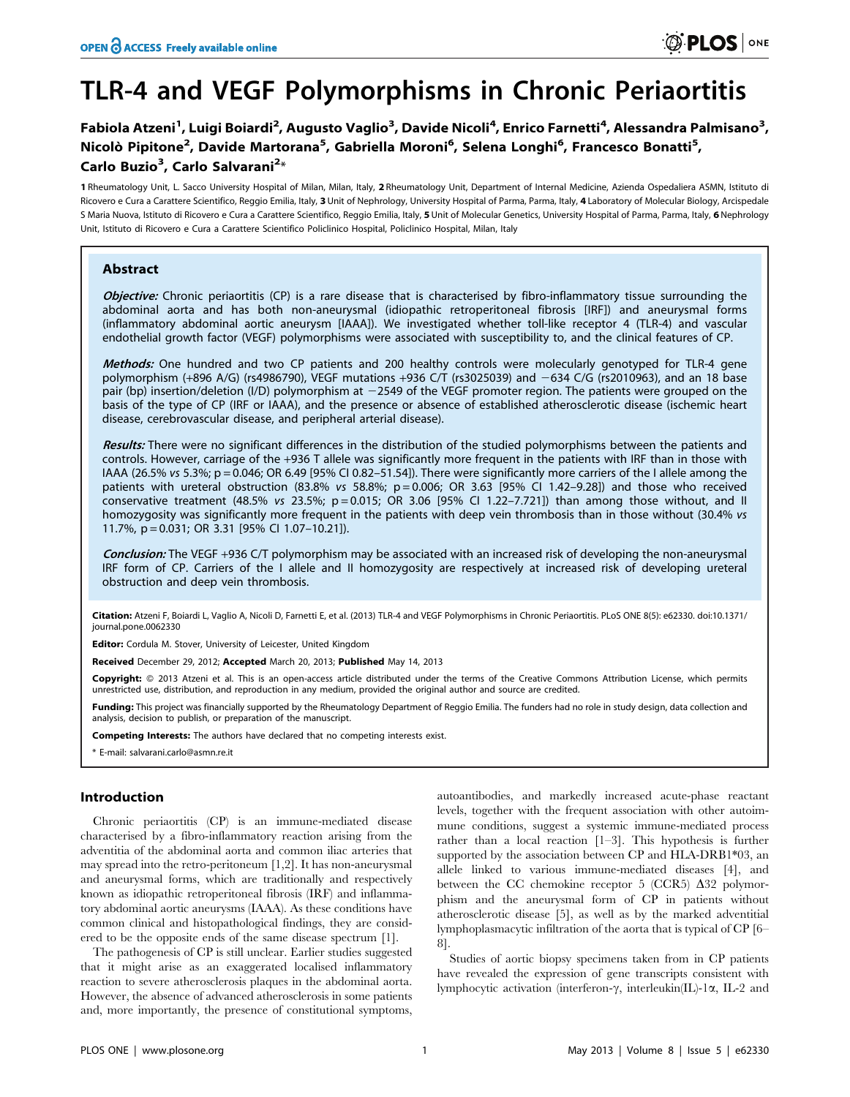# TLR-4 and VEGF Polymorphisms in Chronic Periaortitis

# Fabiola Atzeni<sup>1</sup>, Luigi Boiardi<sup>2</sup>, Augusto Vaglio<sup>3</sup>, Davide Nicoli<sup>4</sup>, Enrico Farnetti<sup>4</sup>, Alessandra Palmisano<sup>3</sup>, Nicolò Pipitone<sup>2</sup>, Davide Martorana<sup>5</sup>, Gabriella Moroni<sup>6</sup>, Selena Longhi<sup>6</sup>, Francesco Bonatti<sup>5</sup>, Carlo Buzio<sup>3</sup>, Carlo Salvarani<sup>2</sup>\*

1 Rheumatology Unit, L. Sacco University Hospital of Milan, Milan, Italy, 2 Rheumatology Unit, Department of Internal Medicine, Azienda Ospedaliera ASMN, Istituto di Ricovero e Cura a Carattere Scientifico, Reggio Emilia, Italy, 3 Unit of Nephrology, University Hospital of Parma, Parma, Italy, 4 Laboratory of Molecular Biology, Arcispedale S Maria Nuova, Istituto di Ricovero e Cura a Carattere Scientifico, Reggio Emilia, Italy, 5 Unit of Molecular Genetics, University Hospital of Parma, Parma, Italy, 6 Nephrology Unit, Istituto di Ricovero e Cura a Carattere Scientifico Policlinico Hospital, Policlinico Hospital, Milan, Italy

# Abstract

Objective: Chronic periaortitis (CP) is a rare disease that is characterised by fibro-inflammatory tissue surrounding the abdominal aorta and has both non-aneurysmal (idiopathic retroperitoneal fibrosis [IRF]) and aneurysmal forms (inflammatory abdominal aortic aneurysm [IAAA]). We investigated whether toll-like receptor 4 (TLR-4) and vascular endothelial growth factor (VEGF) polymorphisms were associated with susceptibility to, and the clinical features of CP.

Methods: One hundred and two CP patients and 200 healthy controls were molecularly genotyped for TLR-4 gene polymorphism (+896 A/G) (rs4986790), VEGF mutations +936 C/T (rs3025039) and -634 C/G (rs2010963), and an 18 base pair (bp) insertion/deletion (I/D) polymorphism at 22549 of the VEGF promoter region. The patients were grouped on the basis of the type of CP (IRF or IAAA), and the presence or absence of established atherosclerotic disease (ischemic heart disease, cerebrovascular disease, and peripheral arterial disease).

Results: There were no significant differences in the distribution of the studied polymorphisms between the patients and controls. However, carriage of the +936 T allele was significantly more frequent in the patients with IRF than in those with IAAA (26.5% vs 5.3%; p = 0.046; OR 6.49 [95% CI 0.82–51.54]). There were significantly more carriers of the I allele among the patients with ureteral obstruction (83.8% vs 58.8%;  $p = 0.006$ ; OR 3.63 [95% CI 1.42-9.28]) and those who received conservative treatment (48.5% vs 23.5%;  $p = 0.015$ ; OR 3.06 [95% CI 1.22-7.721]) than among those without, and II homozygosity was significantly more frequent in the patients with deep vein thrombosis than in those without (30.4% vs 11.7%, p = 0.031; OR 3.31 [95% CI 1.07–10.21]).

Conclusion: The VEGF +936 C/T polymorphism may be associated with an increased risk of developing the non-aneurysmal IRF form of CP. Carriers of the I allele and II homozygosity are respectively at increased risk of developing ureteral obstruction and deep vein thrombosis.

Citation: Atzeni F, Boiardi L, Vaglio A, Nicoli D, Farnetti E, et al. (2013) TLR-4 and VEGF Polymorphisms in Chronic Periaortitis. PLoS ONE 8(5): e62330. doi:10.1371/ journal.pone.0062330

Editor: Cordula M. Stover, University of Leicester, United Kingdom

Received December 29, 2012; Accepted March 20, 2013; Published May 14, 2013

Copyright: © 2013 Atzeni et al. This is an open-access article distributed under the terms of the Creative Commons Attribution License, which permits unrestricted use, distribution, and reproduction in any medium, provided the original author and source are credited.

Funding: This project was financially supported by the Rheumatology Department of Reggio Emilia. The funders had no role in study design, data collection and analysis, decision to publish, or preparation of the manuscript.

Competing Interests: The authors have declared that no competing interests exist.

\* E-mail: salvarani.carlo@asmn.re.it

## Introduction

Chronic periaortitis (CP) is an immune-mediated disease characterised by a fibro-inflammatory reaction arising from the adventitia of the abdominal aorta and common iliac arteries that may spread into the retro-peritoneum [1,2]. It has non-aneurysmal and aneurysmal forms, which are traditionally and respectively known as idiopathic retroperitoneal fibrosis (IRF) and inflammatory abdominal aortic aneurysms (IAAA). As these conditions have common clinical and histopathological findings, they are considered to be the opposite ends of the same disease spectrum [1].

The pathogenesis of CP is still unclear. Earlier studies suggested that it might arise as an exaggerated localised inflammatory reaction to severe atherosclerosis plaques in the abdominal aorta. However, the absence of advanced atherosclerosis in some patients and, more importantly, the presence of constitutional symptoms, autoantibodies, and markedly increased acute-phase reactant levels, together with the frequent association with other autoimmune conditions, suggest a systemic immune-mediated process rather than a local reaction [1–3]. This hypothesis is further supported by the association between CP and HLA-DRB1\*03, an allele linked to various immune-mediated diseases [4], and between the CC chemokine receptor 5 (CCR5)  $\Delta$ 32 polymorphism and the aneurysmal form of CP in patients without atherosclerotic disease [5], as well as by the marked adventitial lymphoplasmacytic infiltration of the aorta that is typical of CP [6– 8].

Studies of aortic biopsy specimens taken from in CP patients have revealed the expression of gene transcripts consistent with lymphocytic activation (interferon- $\gamma$ , interleukin(IL)-1 $\alpha$ , IL-2 and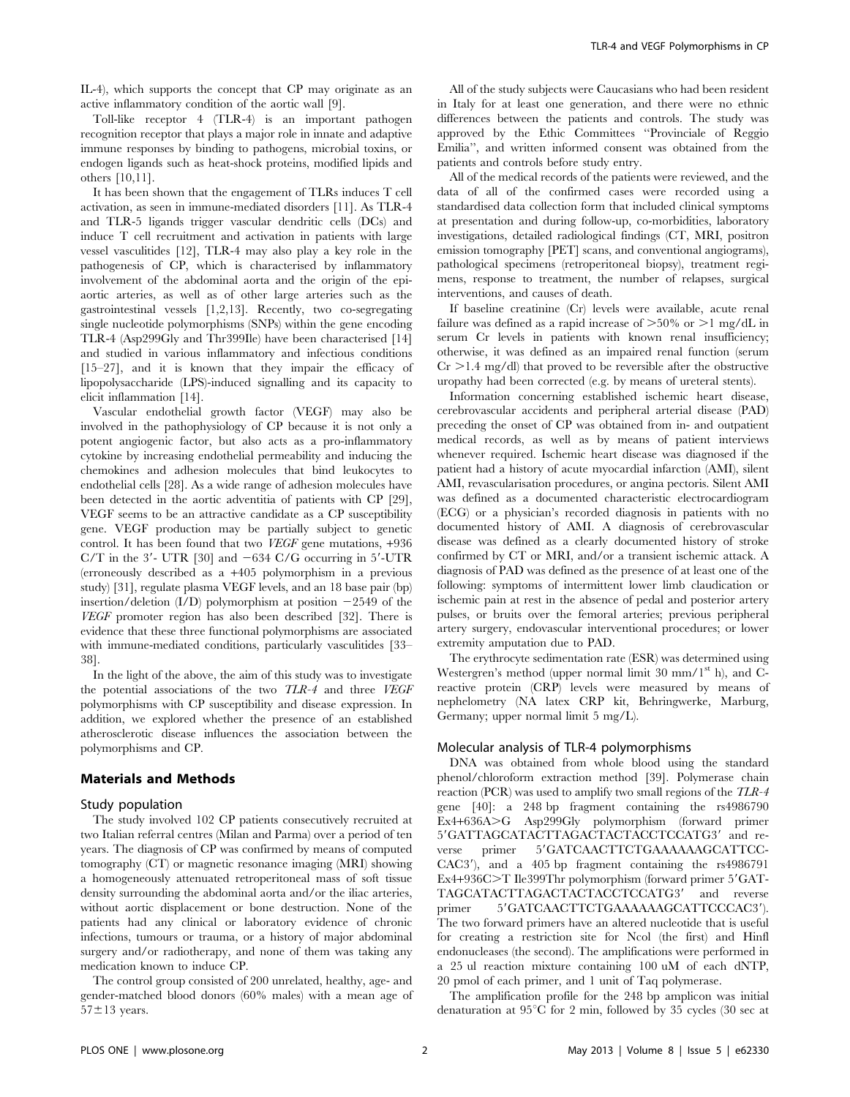Toll-like receptor 4 (TLR-4) is an important pathogen recognition receptor that plays a major role in innate and adaptive immune responses by binding to pathogens, microbial toxins, or endogen ligands such as heat-shock proteins, modified lipids and others [10,11].

It has been shown that the engagement of TLRs induces T cell activation, as seen in immune-mediated disorders [11]. As TLR-4 and TLR-5 ligands trigger vascular dendritic cells (DCs) and induce T cell recruitment and activation in patients with large vessel vasculitides [12], TLR-4 may also play a key role in the pathogenesis of CP, which is characterised by inflammatory involvement of the abdominal aorta and the origin of the epiaortic arteries, as well as of other large arteries such as the gastrointestinal vessels [1,2,13]. Recently, two co-segregating single nucleotide polymorphisms (SNPs) within the gene encoding TLR-4 (Asp299Gly and Thr399Ile) have been characterised [14] and studied in various inflammatory and infectious conditions [15–27], and it is known that they impair the efficacy of lipopolysaccharide (LPS)-induced signalling and its capacity to elicit inflammation [14].

Vascular endothelial growth factor (VEGF) may also be involved in the pathophysiology of CP because it is not only a potent angiogenic factor, but also acts as a pro-inflammatory cytokine by increasing endothelial permeability and inducing the chemokines and adhesion molecules that bind leukocytes to endothelial cells [28]. As a wide range of adhesion molecules have been detected in the aortic adventitia of patients with CP [29], VEGF seems to be an attractive candidate as a CP susceptibility gene. VEGF production may be partially subject to genetic control. It has been found that two VEGF gene mutations, +936 C/T in the  $3'$ - UTR [30] and  $-634$  C/G occurring in  $5'$ -UTR (erroneously described as a +405 polymorphism in a previous study) [31], regulate plasma VEGF levels, and an 18 base pair (bp) insertion/deletion  $(I/D)$  polymorphism at position  $-2549$  of the VEGF promoter region has also been described [32]. There is evidence that these three functional polymorphisms are associated with immune-mediated conditions, particularly vasculitides [33– 38].

In the light of the above, the aim of this study was to investigate the potential associations of the two TLR-4 and three VEGF polymorphisms with CP susceptibility and disease expression. In addition, we explored whether the presence of an established atherosclerotic disease influences the association between the polymorphisms and CP.

## Materials and Methods

#### Study population

The study involved 102 CP patients consecutively recruited at two Italian referral centres (Milan and Parma) over a period of ten years. The diagnosis of CP was confirmed by means of computed tomography (CT) or magnetic resonance imaging (MRI) showing a homogeneously attenuated retroperitoneal mass of soft tissue density surrounding the abdominal aorta and/or the iliac arteries, without aortic displacement or bone destruction. None of the patients had any clinical or laboratory evidence of chronic infections, tumours or trauma, or a history of major abdominal surgery and/or radiotherapy, and none of them was taking any medication known to induce CP.

The control group consisted of 200 unrelated, healthy, age- and gender-matched blood donors (60% males) with a mean age of  $57\pm13$  years.

All of the study subjects were Caucasians who had been resident in Italy for at least one generation, and there were no ethnic differences between the patients and controls. The study was approved by the Ethic Committees ''Provinciale of Reggio Emilia'', and written informed consent was obtained from the patients and controls before study entry.

All of the medical records of the patients were reviewed, and the data of all of the confirmed cases were recorded using a standardised data collection form that included clinical symptoms at presentation and during follow-up, co-morbidities, laboratory investigations, detailed radiological findings (CT, MRI, positron emission tomography [PET] scans, and conventional angiograms), pathological specimens (retroperitoneal biopsy), treatment regimens, response to treatment, the number of relapses, surgical interventions, and causes of death.

If baseline creatinine (Cr) levels were available, acute renal failure was defined as a rapid increase of  $>50\%$  or  $>1$  mg/dL in serum Cr levels in patients with known renal insufficiency; otherwise, it was defined as an impaired renal function (serum  $Cr > 1.4$  mg/dl) that proved to be reversible after the obstructive uropathy had been corrected (e.g. by means of ureteral stents).

Information concerning established ischemic heart disease, cerebrovascular accidents and peripheral arterial disease (PAD) preceding the onset of CP was obtained from in- and outpatient medical records, as well as by means of patient interviews whenever required. Ischemic heart disease was diagnosed if the patient had a history of acute myocardial infarction (AMI), silent AMI, revascularisation procedures, or angina pectoris. Silent AMI was defined as a documented characteristic electrocardiogram (ECG) or a physician's recorded diagnosis in patients with no documented history of AMI. A diagnosis of cerebrovascular disease was defined as a clearly documented history of stroke confirmed by CT or MRI, and/or a transient ischemic attack. A diagnosis of PAD was defined as the presence of at least one of the following: symptoms of intermittent lower limb claudication or ischemic pain at rest in the absence of pedal and posterior artery pulses, or bruits over the femoral arteries; previous peripheral artery surgery, endovascular interventional procedures; or lower extremity amputation due to PAD.

The erythrocyte sedimentation rate (ESR) was determined using Westergren's method (upper normal limit  $30 \text{ mm}/1^{\text{st}}$  h), and Creactive protein (CRP) levels were measured by means of nephelometry (NA latex CRP kit, Behringwerke, Marburg, Germany; upper normal limit 5 mg/L).

# Molecular analysis of TLR-4 polymorphisms

DNA was obtained from whole blood using the standard phenol/chloroform extraction method [39]. Polymerase chain reaction (PCR) was used to amplify two small regions of the TLR-4 gene [40]: a 248 bp fragment containing the rs4986790 Ex4+636A>G Asp299Gly polymorphism (forward primer 5'GATTAGCATACTTAGACTACTACCTCCATG3' and reverse primer 5'GATCAACTTCTGAAAAAAGCATTCC-CAC3'), and a 405 bp fragment containing the rs4986791 Ex4+936C>T Ile399Thr polymorphism (forward primer 5'GAT-TAGCATACTTAGACTACTACCTCCATG3' and reverse primer 5'GATCAACTTCTGAAAAAAGCATTCCCAC3'). The two forward primers have an altered nucleotide that is useful for creating a restriction site for Ncol (the first) and Hinfl endonucleases (the second). The amplifications were performed in a 25 ul reaction mixture containing 100 uM of each dNTP, 20 pmol of each primer, and 1 unit of Taq polymerase.

The amplification profile for the 248 bp amplicon was initial denaturation at  $95^{\circ}$ C for 2 min, followed by 35 cycles (30 sec at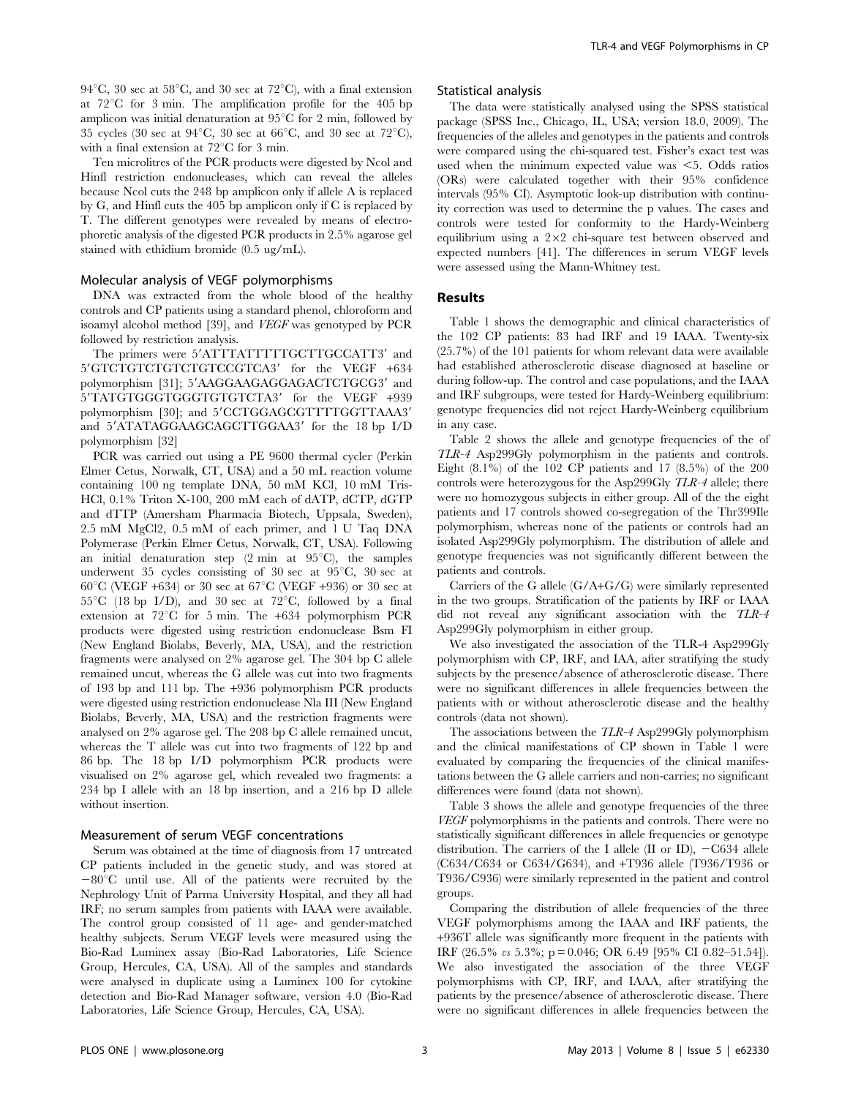94 $^{\circ}$ C, 30 sec at 58 $^{\circ}$ C, and 30 sec at 72 $^{\circ}$ C), with a final extension at  $72^{\circ}$ C for 3 min. The amplification profile for the 405 bp amplicon was initial denaturation at  $95^{\circ}$ C for 2 min, followed by 35 cycles (30 sec at 94 $^{\circ}$ C, 30 sec at 66 $^{\circ}$ C, and 30 sec at 72 $^{\circ}$ C), with a final extension at  $72^{\circ}$ C for 3 min.

Ten microlitres of the PCR products were digested by Ncol and Hinfl restriction endonucleases, which can reveal the alleles because Ncol cuts the 248 bp amplicon only if allele A is replaced by G, and Hinfl cuts the 405 bp amplicon only if C is replaced by T. The different genotypes were revealed by means of electrophoretic analysis of the digested PCR products in 2.5% agarose gel stained with ethidium bromide (0.5 ug/mL).

#### Molecular analysis of VEGF polymorphisms

DNA was extracted from the whole blood of the healthy controls and CP patients using a standard phenol, chloroform and isoamyl alcohol method [39], and VEGF was genotyped by PCR followed by restriction analysis.

The primers were 5'ATTTATTTTTGCTTGCCATT3' and 5'GTCTGTCTGTCTGTCCGTCA3' for the VEGF +634 polymorphism [31]; 5'AAGGAAGAGGAGACTCTGCG3' and 5'TATGTGGGTGGGTGTGTCTA3' for the VEGF +939 polymorphism [30]; and 5'CCTGGAGCGTTTTGGTTAAA3' and 5'ATATAGGAAGCAGCTTGGAA3' for the 18 bp I/D polymorphism [32]

PCR was carried out using a PE 9600 thermal cycler (Perkin Elmer Cetus, Norwalk, CT, USA) and a 50 mL reaction volume containing 100 ng template DNA, 50 mM KCl, 10 mM Tris-HCl, 0.1% Triton X-100, 200 mM each of dATP, dCTP, dGTP and dTTP (Amersham Pharmacia Biotech, Uppsala, Sweden), 2.5 mM MgCl2, 0.5 mM of each primer, and 1 U Taq DNA Polymerase (Perkin Elmer Cetus, Norwalk, CT, USA). Following an initial denaturation step  $(2 \text{ min at } 95^{\circ}\text{C})$ , the samples underwent 35 cycles consisting of 30 sec at  $95^{\circ}$ C, 30 sec at 60<sup>°</sup>C (VEGF +634) or 30 sec at 67<sup>°</sup>C (VEGF +936) or 30 sec at  $55^{\circ}$ C (18 bp I/D), and 30 sec at 72 $^{\circ}$ C, followed by a final extension at  $72^{\circ}$ C for 5 min. The  $+634$  polymorphism PCR products were digested using restriction endonuclease Bsm FI (New England Biolabs, Beverly, MA, USA), and the restriction fragments were analysed on 2% agarose gel. The 304 bp C allele remained uncut, whereas the G allele was cut into two fragments of 193 bp and 111 bp. The +936 polymorphism PCR products were digested using restriction endonuclease Nla III (New England Biolabs, Beverly, MA, USA) and the restriction fragments were analysed on 2% agarose gel. The 208 bp C allele remained uncut, whereas the T allele was cut into two fragments of 122 bp and 86 bp. The 18 bp I/D polymorphism PCR products were visualised on 2% agarose gel, which revealed two fragments: a 234 bp I allele with an 18 bp insertion, and a 216 bp D allele without insertion.

#### Measurement of serum VEGF concentrations

Serum was obtained at the time of diagnosis from 17 untreated CP patients included in the genetic study, and was stored at  $-80^{\circ}$ C until use. All of the patients were recruited by the Nephrology Unit of Parma University Hospital, and they all had IRF; no serum samples from patients with IAAA were available. The control group consisted of 11 age- and gender-matched healthy subjects. Serum VEGF levels were measured using the Bio-Rad Luminex assay (Bio-Rad Laboratories, Life Science Group, Hercules, CA, USA). All of the samples and standards were analysed in duplicate using a Luminex 100 for cytokine detection and Bio-Rad Manager software, version 4.0 (Bio-Rad Laboratories, Life Science Group, Hercules, CA, USA).

#### Statistical analysis

The data were statistically analysed using the SPSS statistical package (SPSS Inc., Chicago, IL, USA; version 18.0, 2009). The frequencies of the alleles and genotypes in the patients and controls were compared using the chi-squared test. Fisher's exact test was used when the minimum expected value was  $\leq$ 5. Odds ratios (ORs) were calculated together with their 95% confidence intervals (95% CI). Asymptotic look-up distribution with continuity correction was used to determine the p values. The cases and controls were tested for conformity to the Hardy-Weinberg equilibrium using a  $2\times2$  chi-square test between observed and expected numbers [41]. The differences in serum VEGF levels were assessed using the Mann-Whitney test.

#### Results

Table 1 shows the demographic and clinical characteristics of the 102 CP patients: 83 had IRF and 19 IAAA. Twenty-six (25.7%) of the 101 patients for whom relevant data were available had established atherosclerotic disease diagnosed at baseline or during follow-up. The control and case populations, and the IAAA and IRF subgroups, were tested for Hardy-Weinberg equilibrium: genotype frequencies did not reject Hardy-Weinberg equilibrium in any case.

Table 2 shows the allele and genotype frequencies of the of TLR-4 Asp299Gly polymorphism in the patients and controls. Eight (8.1%) of the 102 CP patients and 17 (8.5%) of the 200 controls were heterozygous for the Asp299Gly TLR-4 allele; there were no homozygous subjects in either group. All of the the eight patients and 17 controls showed co-segregation of the Thr399Ile polymorphism, whereas none of the patients or controls had an isolated Asp299Gly polymorphism. The distribution of allele and genotype frequencies was not significantly different between the patients and controls.

Carriers of the G allele (G/A+G/G) were similarly represented in the two groups. Stratification of the patients by IRF or IAAA did not reveal any significant association with the TLR-4 Asp299Gly polymorphism in either group.

We also investigated the association of the TLR-4 Asp299Gly polymorphism with CP, IRF, and IAA, after stratifying the study subjects by the presence/absence of atherosclerotic disease. There were no significant differences in allele frequencies between the patients with or without atherosclerotic disease and the healthy controls (data not shown).

The associations between the TLR-4 Asp299Gly polymorphism and the clinical manifestations of CP shown in Table 1 were evaluated by comparing the frequencies of the clinical manifestations between the G allele carriers and non-carries; no significant differences were found (data not shown).

Table 3 shows the allele and genotype frequencies of the three VEGF polymorphisms in the patients and controls. There were no statistically significant differences in allele frequencies or genotype distribution. The carriers of the I allele (II or ID),  $-C634$  allele (C634/C634 or C634/G634), and +T936 allele (T936/T936 or T936/C936) were similarly represented in the patient and control groups.

Comparing the distribution of allele frequencies of the three VEGF polymorphisms among the IAAA and IRF patients, the +936T allele was significantly more frequent in the patients with IRF (26.5% vs 5.3%; p = 0.046; OR 6.49 [95% CI 0.82–51.54]). We also investigated the association of the three VEGF polymorphisms with CP, IRF, and IAAA, after stratifying the patients by the presence/absence of atherosclerotic disease. There were no significant differences in allele frequencies between the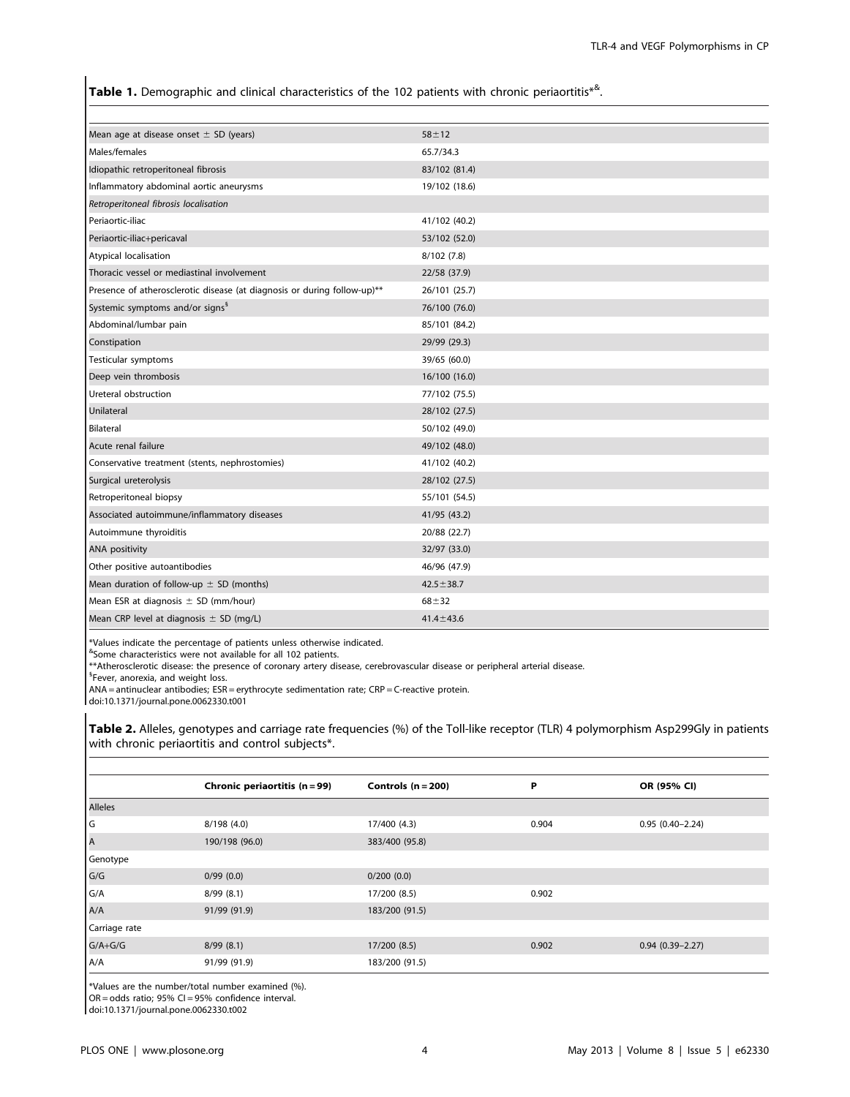Table 1. Demographic and clinical characteristics of the 102 patients with chronic periaortitis\*<sup>&</sup>.

| Mean age at disease onset $\pm$ SD (years)                               | $58 + 12$       |
|--------------------------------------------------------------------------|-----------------|
| Males/females                                                            | 65.7/34.3       |
| Idiopathic retroperitoneal fibrosis                                      | 83/102 (81.4)   |
| Inflammatory abdominal aortic aneurysms                                  | 19/102 (18.6)   |
| Retroperitoneal fibrosis localisation                                    |                 |
| Periaortic-iliac                                                         | 41/102 (40.2)   |
| Periaortic-iliac+pericaval                                               | 53/102 (52.0)   |
| Atypical localisation                                                    | 8/102(7.8)      |
| Thoracic vessel or mediastinal involvement                               | 22/58 (37.9)    |
| Presence of atherosclerotic disease (at diagnosis or during follow-up)** | 26/101 (25.7)   |
| Systemic symptoms and/or signs <sup>8</sup>                              | 76/100 (76.0)   |
| Abdominal/lumbar pain                                                    | 85/101 (84.2)   |
| Constipation                                                             | 29/99 (29.3)    |
| Testicular symptoms                                                      | 39/65 (60.0)    |
| Deep vein thrombosis                                                     | 16/100 (16.0)   |
| Ureteral obstruction                                                     | 77/102 (75.5)   |
| Unilateral                                                               | 28/102 (27.5)   |
| Bilateral                                                                | 50/102 (49.0)   |
| Acute renal failure                                                      | 49/102 (48.0)   |
| Conservative treatment (stents, nephrostomies)                           | 41/102 (40.2)   |
| Surgical ureterolysis                                                    | 28/102 (27.5)   |
| Retroperitoneal biopsy                                                   | 55/101 (54.5)   |
| Associated autoimmune/inflammatory diseases                              | 41/95 (43.2)    |
| Autoimmune thyroiditis                                                   | 20/88 (22.7)    |
| <b>ANA positivity</b>                                                    | 32/97 (33.0)    |
| Other positive autoantibodies                                            | 46/96 (47.9)    |
| Mean duration of follow-up $\pm$ SD (months)                             | $42.5 \pm 38.7$ |
| Mean ESR at diagnosis $\pm$ SD (mm/hour)                                 | $68 + 32$       |
| Mean CRP level at diagnosis $\pm$ SD (mg/L)                              | $41.4 \pm 43.6$ |

\*Values indicate the percentage of patients unless otherwise indicated.

& Some characteristics were not available for all 102 patients.

\*\*Atherosclerotic disease: the presence of coronary artery disease, cerebrovascular disease or peripheral arterial disease.

<sup>§</sup>Fever, anorexia, and weight loss.

ANA = antinuclear antibodies; ESR = erythrocyte sedimentation rate; CRP = C-reactive protein.

doi:10.1371/journal.pone.0062330.t001

Table 2. Alleles, genotypes and carriage rate frequencies (%) of the Toll-like receptor (TLR) 4 polymorphism Asp299Gly in patients with chronic periaortitis and control subjects\*.

|               | Chronic periaortitis (n = 99) | Controls $(n = 200)$ | P     | OR (95% CI)         |
|---------------|-------------------------------|----------------------|-------|---------------------|
| Alleles       |                               |                      |       |                     |
| l G           | 8/198 (4.0)                   | 17/400 (4.3)         | 0.904 | $0.95(0.40 - 2.24)$ |
| A             | 190/198 (96.0)                | 383/400 (95.8)       |       |                     |
| Genotype      |                               |                      |       |                     |
| G/G           | 0/99(0.0)                     | 0/200(0.0)           |       |                     |
| G/A           | 8/99(8.1)                     | 17/200 (8.5)         | 0.902 |                     |
| A/A           | 91/99 (91.9)                  | 183/200 (91.5)       |       |                     |
| Carriage rate |                               |                      |       |                     |
| $G/A+G/G$     | 8/99(8.1)                     | 17/200 (8.5)         | 0.902 | $0.94(0.39 - 2.27)$ |
| A/A           | 91/99 (91.9)                  | 183/200 (91.5)       |       |                     |

\*Values are the number/total number examined (%).  $OR = odds ratio; 95% CI = 95% confidence interval.$ 

doi:10.1371/journal.pone.0062330.t002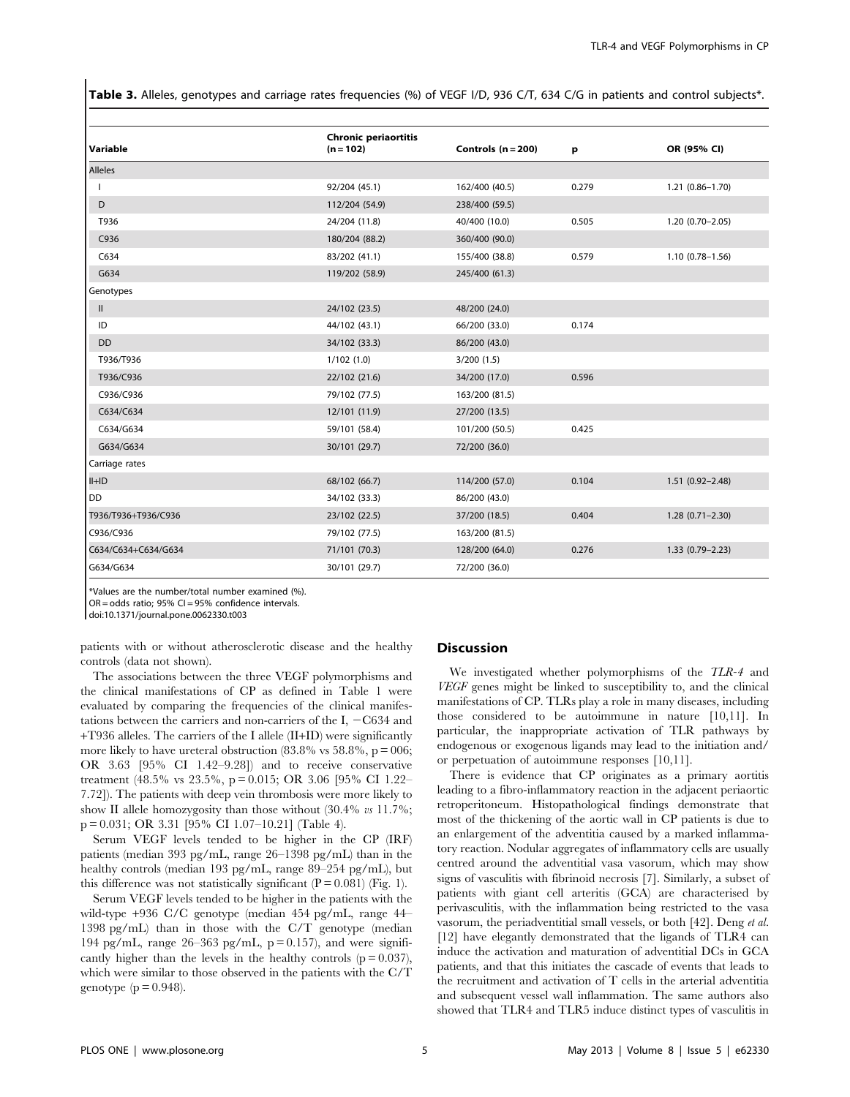Table 3. Alleles, genotypes and carriage rates frequencies (%) of VEGF I/D, 936 C/T, 634 C/G in patients and control subjects\*.

| Variable            | <b>Chronic periaortitis</b><br>$(n = 102)$ | Controls $(n = 200)$ | p     | OR (95% CI)         |
|---------------------|--------------------------------------------|----------------------|-------|---------------------|
| <b>Alleles</b>      |                                            |                      |       |                     |
|                     | 92/204 (45.1)                              | 162/400 (40.5)       | 0.279 | $1.21(0.86 - 1.70)$ |
| D                   | 112/204 (54.9)                             | 238/400 (59.5)       |       |                     |
| T936                | 24/204 (11.8)                              | 40/400 (10.0)        | 0.505 | $1.20(0.70 - 2.05)$ |
| C936                | 180/204 (88.2)                             | 360/400 (90.0)       |       |                     |
| C634                | 83/202 (41.1)                              | 155/400 (38.8)       | 0.579 | $1.10(0.78 - 1.56)$ |
| G634                | 119/202 (58.9)                             | 245/400 (61.3)       |       |                     |
| Genotypes           |                                            |                      |       |                     |
| Ш.                  | 24/102 (23.5)                              | 48/200 (24.0)        |       |                     |
| ID                  | 44/102 (43.1)                              | 66/200 (33.0)        | 0.174 |                     |
| <b>DD</b>           | 34/102 (33.3)                              | 86/200 (43.0)        |       |                     |
| T936/T936           | 1/102(1.0)                                 | 3/200(1.5)           |       |                     |
| T936/C936           | 22/102 (21.6)                              | 34/200 (17.0)        | 0.596 |                     |
| C936/C936           | 79/102 (77.5)                              | 163/200 (81.5)       |       |                     |
| C634/C634           | 12/101 (11.9)                              | 27/200 (13.5)        |       |                     |
| C634/G634           | 59/101 (58.4)                              | 101/200 (50.5)       | 0.425 |                     |
| G634/G634           | 30/101 (29.7)                              | 72/200 (36.0)        |       |                     |
| Carriage rates      |                                            |                      |       |                     |
| $II+ID$             | 68/102 (66.7)                              | 114/200 (57.0)       | 0.104 | $1.51(0.92 - 2.48)$ |
| <b>DD</b>           | 34/102 (33.3)                              | 86/200 (43.0)        |       |                     |
| T936/T936+T936/C936 | 23/102 (22.5)                              | 37/200 (18.5)        | 0.404 | $1.28(0.71 - 2.30)$ |
| C936/C936           | 79/102 (77.5)                              | 163/200 (81.5)       |       |                     |
| C634/C634+C634/G634 | 71/101 (70.3)                              | 128/200 (64.0)       | 0.276 | $1.33(0.79 - 2.23)$ |
| G634/G634           | 30/101 (29.7)                              | 72/200 (36.0)        |       |                     |

\*Values are the number/total number examined (%).

 $OR = odds$  ratio; 95% CI = 95% confidence intervals.

doi:10.1371/journal.pone.0062330.t003

patients with or without atherosclerotic disease and the healthy controls (data not shown).

The associations between the three VEGF polymorphisms and the clinical manifestations of CP as defined in Table 1 were evaluated by comparing the frequencies of the clinical manifestations between the carriers and non-carriers of the I,  $-C634$  and +T936 alleles. The carriers of the I allele (II+ID) were significantly more likely to have ureteral obstruction  $(83.8\% \text{ vs } 58.8\%, \text{p} = 006)$ ; OR 3.63 [95% CI 1.42–9.28]) and to receive conservative treatment (48.5% vs 23.5%, p = 0.015; OR 3.06 [95% CI 1.22– 7.72]). The patients with deep vein thrombosis were more likely to show II allele homozygosity than those without  $(30.4\% \text{ vs } 11.7\%);$ p = 0.031; OR 3.31 [95% CI 1.07–10.21] (Table 4).

Serum VEGF levels tended to be higher in the CP (IRF) patients (median 393 pg/mL, range 26–1398 pg/mL) than in the healthy controls (median 193 pg/mL, range 89–254 pg/mL), but this difference was not statistically significant  $(P = 0.081)$  (Fig. 1).

Serum VEGF levels tended to be higher in the patients with the wild-type +936 C/C genotype (median 454 pg/mL, range 44– 1398 pg/mL) than in those with the C/T genotype (median 194 pg/mL, range  $26-363$  pg/mL,  $p = 0.157$ ), and were significantly higher than the levels in the healthy controls  $(p = 0.037)$ , which were similar to those observed in the patients with the C/T genotype  $(p = 0.948)$ .

# Discussion

We investigated whether polymorphisms of the TLR-4 and VEGF genes might be linked to susceptibility to, and the clinical manifestations of CP. TLRs play a role in many diseases, including those considered to be autoimmune in nature [10,11]. In particular, the inappropriate activation of TLR pathways by endogenous or exogenous ligands may lead to the initiation and/ or perpetuation of autoimmune responses [10,11].

There is evidence that CP originates as a primary aortitis leading to a fibro-inflammatory reaction in the adjacent periaortic retroperitoneum. Histopathological findings demonstrate that most of the thickening of the aortic wall in CP patients is due to an enlargement of the adventitia caused by a marked inflammatory reaction. Nodular aggregates of inflammatory cells are usually centred around the adventitial vasa vasorum, which may show signs of vasculitis with fibrinoid necrosis [7]. Similarly, a subset of patients with giant cell arteritis (GCA) are characterised by perivasculitis, with the inflammation being restricted to the vasa vasorum, the periadventitial small vessels, or both [42]. Deng et al. [12] have elegantly demonstrated that the ligands of TLR4 can induce the activation and maturation of adventitial DCs in GCA patients, and that this initiates the cascade of events that leads to the recruitment and activation of T cells in the arterial adventitia and subsequent vessel wall inflammation. The same authors also showed that TLR4 and TLR5 induce distinct types of vasculitis in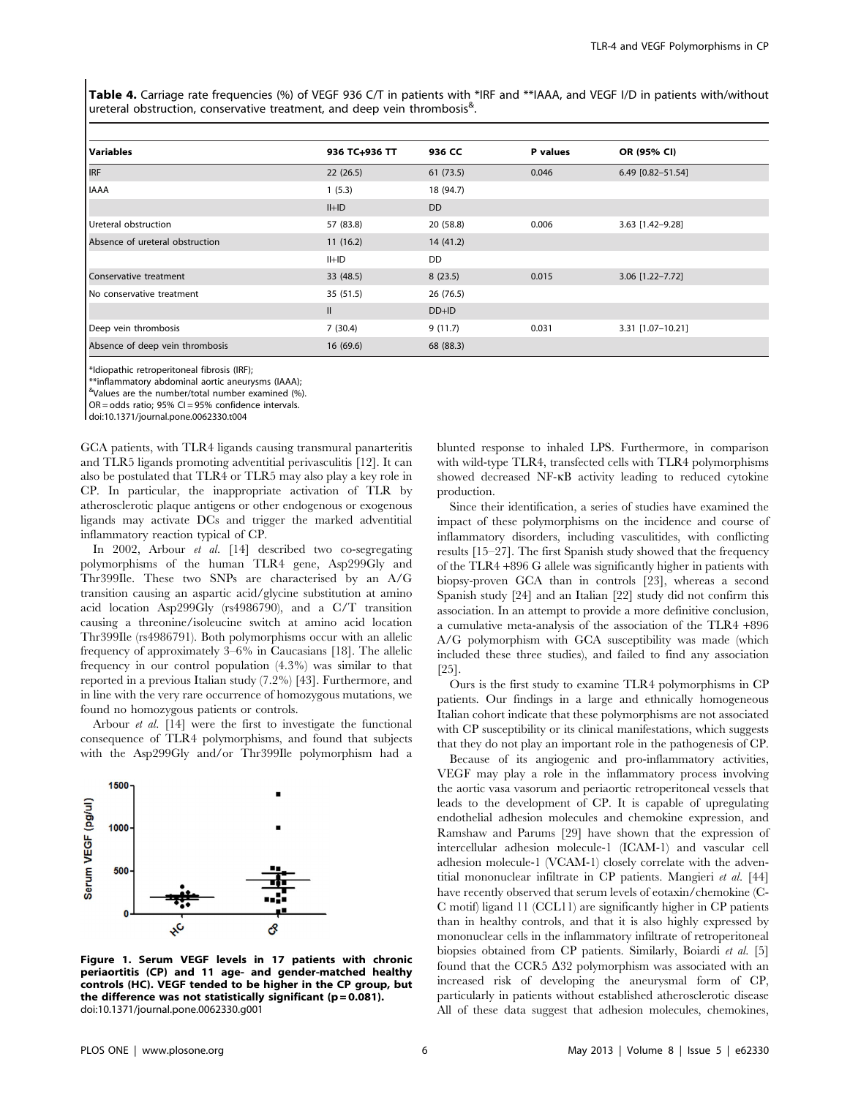Table 4. Carriage rate frequencies (%) of VEGF 936 C/T in patients with \*IRF and \*\*IAAA, and VEGF I/D in patients with/without ureteral obstruction, conservative treatment, and deep vein thrombosis<sup>&</sup>.

| <b>Variables</b>                | 936 TC+936 TT | 936 CC    | P values | OR (95% CI)       |
|---------------------------------|---------------|-----------|----------|-------------------|
| <b>IRF</b>                      | 22(26.5)      | 61(73.5)  | 0.046    | 6.49 [0.82-51.54] |
| <b>IAAA</b>                     | 1(5.3)        | 18 (94.7) |          |                   |
|                                 | $II+ID$       | <b>DD</b> |          |                   |
| Ureteral obstruction            | 57 (83.8)     | 20(58.8)  | 0.006    | 3.63 [1.42-9.28]  |
| Absence of ureteral obstruction | 11(16.2)      | 14(41.2)  |          |                   |
|                                 | $II+ID$       | <b>DD</b> |          |                   |
| Conservative treatment          | 33 (48.5)     | 8(23.5)   | 0.015    | 3.06 [1.22-7.72]  |
| No conservative treatment       | 35 (51.5)     | 26(76.5)  |          |                   |
|                                 | $\mathbf{II}$ | $DD+ID$   |          |                   |
| Deep vein thrombosis            | 7(30.4)       | 9(11.7)   | 0.031    | 3.31 [1.07-10.21] |
| Absence of deep vein thrombosis | 16(69.6)      | 68 (88.3) |          |                   |

\*Idiopathic retroperitoneal fibrosis (IRF);

\*\*inflammatory abdominal aortic aneurysms (IAAA);

& Values are the number/total number examined (%).

OR = odds ratio; 95% CI = 95% confidence intervals.

doi:10.1371/journal.pone.0062330.t004

GCA patients, with TLR4 ligands causing transmural panarteritis and TLR5 ligands promoting adventitial perivasculitis [12]. It can also be postulated that TLR4 or TLR5 may also play a key role in CP. In particular, the inappropriate activation of TLR by atherosclerotic plaque antigens or other endogenous or exogenous ligands may activate DCs and trigger the marked adventitial inflammatory reaction typical of CP.

In 2002, Arbour et al. [14] described two co-segregating polymorphisms of the human TLR4 gene, Asp299Gly and Thr399Ile. These two SNPs are characterised by an A/G transition causing an aspartic acid/glycine substitution at amino acid location Asp299Gly (rs4986790), and a C/T transition causing a threonine/isoleucine switch at amino acid location Thr399Ile (rs4986791). Both polymorphisms occur with an allelic frequency of approximately 3–6% in Caucasians [18]. The allelic frequency in our control population (4.3%) was similar to that reported in a previous Italian study (7.2%) [43]. Furthermore, and in line with the very rare occurrence of homozygous mutations, we found no homozygous patients or controls.

Arbour et al. [14] were the first to investigate the functional consequence of TLR4 polymorphisms, and found that subjects with the Asp299Gly and/or Thr399Ile polymorphism had a



Figure 1. Serum VEGF levels in 17 patients with chronic periaortitis (CP) and 11 age- and gender-matched healthy controls (HC). VEGF tended to be higher in the CP group, but the difference was not statistically significant ( $p = 0.081$ ). doi:10.1371/journal.pone.0062330.g001

blunted response to inhaled LPS. Furthermore, in comparison with wild-type TLR4, transfected cells with TLR4 polymorphisms showed decreased NF-kB activity leading to reduced cytokine production.

Since their identification, a series of studies have examined the impact of these polymorphisms on the incidence and course of inflammatory disorders, including vasculitides, with conflicting results [15–27]. The first Spanish study showed that the frequency of the TLR4 +896 G allele was significantly higher in patients with biopsy-proven GCA than in controls [23], whereas a second Spanish study [24] and an Italian [22] study did not confirm this association. In an attempt to provide a more definitive conclusion, a cumulative meta-analysis of the association of the TLR4 +896 A/G polymorphism with GCA susceptibility was made (which included these three studies), and failed to find any association [25].

Ours is the first study to examine TLR4 polymorphisms in CP patients. Our findings in a large and ethnically homogeneous Italian cohort indicate that these polymorphisms are not associated with CP susceptibility or its clinical manifestations, which suggests that they do not play an important role in the pathogenesis of CP.

Because of its angiogenic and pro-inflammatory activities, VEGF may play a role in the inflammatory process involving the aortic vasa vasorum and periaortic retroperitoneal vessels that leads to the development of CP. It is capable of upregulating endothelial adhesion molecules and chemokine expression, and Ramshaw and Parums [29] have shown that the expression of intercellular adhesion molecule-1 (ICAM-1) and vascular cell adhesion molecule-1 (VCAM-1) closely correlate with the adventitial mononuclear infiltrate in CP patients. Mangieri et al. [44] have recently observed that serum levels of eotaxin/chemokine (C-C motif) ligand 11 (CCL11) are significantly higher in CP patients than in healthy controls, and that it is also highly expressed by mononuclear cells in the inflammatory infiltrate of retroperitoneal biopsies obtained from CP patients. Similarly, Boiardi et al. [5] found that the CCR5  $\Delta$ 32 polymorphism was associated with an increased risk of developing the aneurysmal form of CP, particularly in patients without established atherosclerotic disease All of these data suggest that adhesion molecules, chemokines,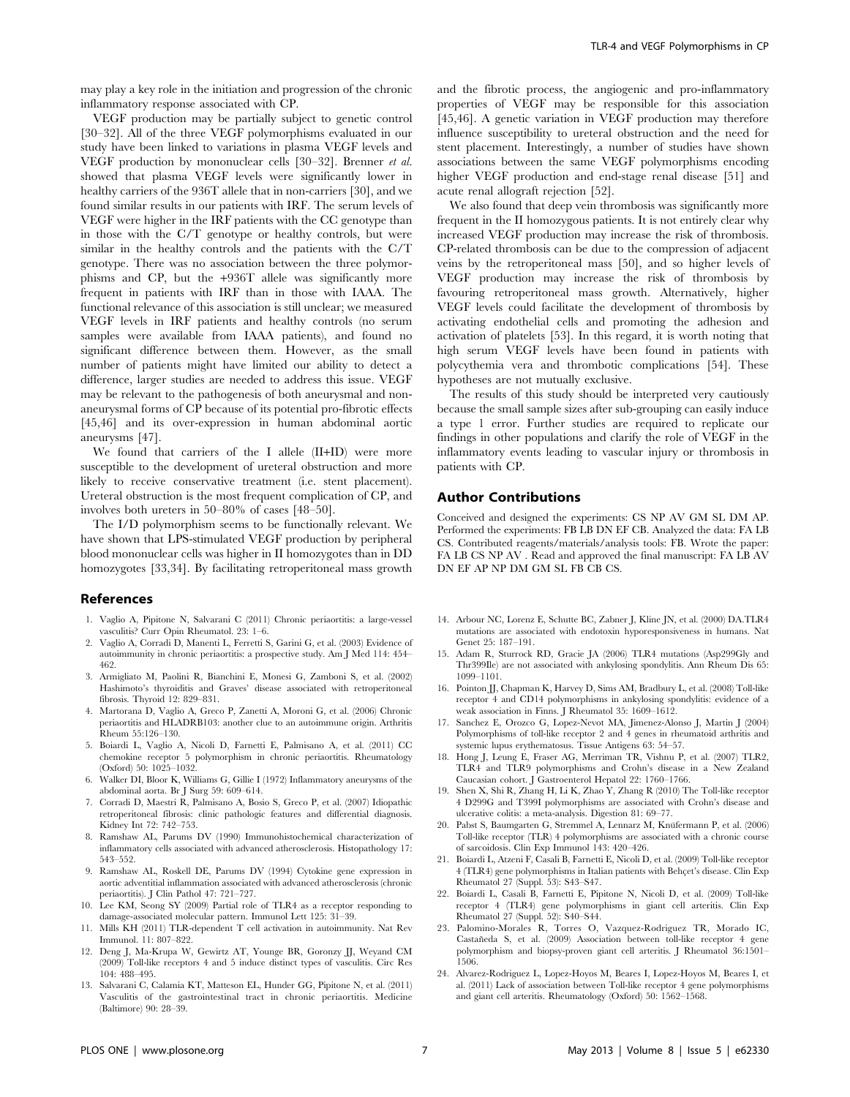may play a key role in the initiation and progression of the chronic inflammatory response associated with CP.

VEGF production may be partially subject to genetic control [30–32]. All of the three VEGF polymorphisms evaluated in our study have been linked to variations in plasma VEGF levels and VEGF production by mononuclear cells [30–32]. Brenner et al. showed that plasma VEGF levels were significantly lower in healthy carriers of the 936T allele that in non-carriers [30], and we found similar results in our patients with IRF. The serum levels of VEGF were higher in the IRF patients with the CC genotype than in those with the C/T genotype or healthy controls, but were similar in the healthy controls and the patients with the C/T genotype. There was no association between the three polymorphisms and CP, but the +936T allele was significantly more frequent in patients with IRF than in those with IAAA. The functional relevance of this association is still unclear; we measured VEGF levels in IRF patients and healthy controls (no serum samples were available from IAAA patients), and found no significant difference between them. However, as the small number of patients might have limited our ability to detect a difference, larger studies are needed to address this issue. VEGF may be relevant to the pathogenesis of both aneurysmal and nonaneurysmal forms of CP because of its potential pro-fibrotic effects [45,46] and its over-expression in human abdominal aortic aneurysms [47].

We found that carriers of the I allele (II+ID) were more susceptible to the development of ureteral obstruction and more likely to receive conservative treatment (i.e. stent placement). Ureteral obstruction is the most frequent complication of CP, and involves both ureters in 50–80% of cases [48–50].

The I/D polymorphism seems to be functionally relevant. We have shown that LPS-stimulated VEGF production by peripheral blood mononuclear cells was higher in II homozygotes than in DD homozygotes [33,34]. By facilitating retroperitoneal mass growth

#### References

- 1. Vaglio A, Pipitone N, Salvarani C (2011) Chronic periaortitis: a large-vessel vasculitis? Curr Opin Rheumatol. 23: 1–6.
- 2. Vaglio A, Corradi D, Manenti L, Ferretti S, Garini G, et al. (2003) Evidence of autoimmunity in chronic periaortitis: a prospective study. Am J Med 114: 454– 462.
- 3. Armigliato M, Paolini R, Bianchini E, Monesi G, Zamboni S, et al. (2002) Hashimoto's thyroiditis and Graves' disease associated with retroperitoneal fibrosis. Thyroid 12: 829–831.
- 4. Martorana D, Vaglio A, Greco P, Zanetti A, Moroni G, et al. (2006) Chronic periaortitis and HLADRB103: another clue to an autoimmune origin. Arthritis Rheum 55:126–130.
- 5. Boiardi L, Vaglio A, Nicoli D, Farnetti E, Palmisano A, et al. (2011) CC chemokine receptor 5 polymorphism in chronic periaortitis. Rheumatology (Oxford) 50: 1025–1032.
- 6. Walker DI, Bloor K, Williams G, Gillie I (1972) Inflammatory aneurysms of the abdominal aorta. Br J Surg 59: 609–614.
- 7. Corradi D, Maestri R, Palmisano A, Bosio S, Greco P, et al. (2007) Idiopathic retroperitoneal fibrosis: clinic pathologic features and differential diagnosis. Kidney Int 72: 742–753.
- 8. Ramshaw AL, Parums DV (1990) Immunohistochemical characterization of inflammatory cells associated with advanced atherosclerosis. Histopathology 17: 543–552.
- 9. Ramshaw AL, Roskell DE, Parums DV (1994) Cytokine gene expression in aortic adventitial inflammation associated with advanced atherosclerosis (chronic periaortitis). J Clin Pathol 47: 721–727.
- 10. Lee KM, Seong SY (2009) Partial role of TLR4 as a receptor responding to damage-associated molecular pattern. Immunol Lett 125: 31–39.
- 11. Mills KH (2011) TLR-dependent T cell activation in autoimmunity. Nat Rev Immunol. 11: 807–822.
- 12. Deng J, Ma-Krupa W, Gewirtz AT, Younge BR, Goronzy JJ, Weyand CM (2009) Toll-like receptors 4 and 5 induce distinct types of vasculitis. Circ Res 104: 488–495.
- 13. Salvarani C, Calamia KT, Matteson EL, Hunder GG, Pipitone N, et al. (2011) Vasculitis of the gastrointestinal tract in chronic periaortitis. Medicine (Baltimore) 90: 28–39.

and the fibrotic process, the angiogenic and pro-inflammatory properties of VEGF may be responsible for this association [45,46]. A genetic variation in VEGF production may therefore influence susceptibility to ureteral obstruction and the need for stent placement. Interestingly, a number of studies have shown associations between the same VEGF polymorphisms encoding higher VEGF production and end-stage renal disease [51] and acute renal allograft rejection [52].

We also found that deep vein thrombosis was significantly more frequent in the II homozygous patients. It is not entirely clear why increased VEGF production may increase the risk of thrombosis. CP-related thrombosis can be due to the compression of adjacent veins by the retroperitoneal mass [50], and so higher levels of VEGF production may increase the risk of thrombosis by favouring retroperitoneal mass growth. Alternatively, higher VEGF levels could facilitate the development of thrombosis by activating endothelial cells and promoting the adhesion and activation of platelets [53]. In this regard, it is worth noting that high serum VEGF levels have been found in patients with polycythemia vera and thrombotic complications [54]. These hypotheses are not mutually exclusive.

The results of this study should be interpreted very cautiously because the small sample sizes after sub-grouping can easily induce a type 1 error. Further studies are required to replicate our findings in other populations and clarify the role of VEGF in the inflammatory events leading to vascular injury or thrombosis in patients with CP.

# Author Contributions

Conceived and designed the experiments: CS NP AV GM SL DM AP. Performed the experiments: FB LB DN EF CB. Analyzed the data: FA LB CS. Contributed reagents/materials/analysis tools: FB. Wrote the paper: FA LB CS NP AV . Read and approved the final manuscript: FA LB AV DN EF AP NP DM GM SL FB CB CS.

- 14. Arbour NC, Lorenz E, Schutte BC, Zabner J, Kline JN, et al. (2000) DA.TLR4 mutations are associated with endotoxin hyporesponsiveness in humans. Nat Genet 25: 187–191.
- 15. Adam R, Sturrock RD, Gracie JA (2006) TLR4 mutations (Asp299Gly and Thr399Ile) are not associated with ankylosing spondylitis. Ann Rheum Dis 65: 1099–1101.
- 16. Pointon JJ, Chapman K, Harvey D, Sims AM, Bradbury L, et al. (2008) Toll-like receptor 4 and CD14 polymorphisms in ankylosing spondylitis: evidence of a weak association in Finns. J Rheumatol 35: 1609–1612.
- 17. Sanchez E, Orozco G, Lopez-Nevot MA, Jimenez-Alonso J, Martin J (2004) Polymorphisms of toll-like receptor 2 and 4 genes in rheumatoid arthritis and systemic lupus erythematosus. Tissue Antigens 63: 54–57.
- 18. Hong J, Leung E, Fraser AG, Merriman TR, Vishnu P, et al. (2007) TLR2, TLR4 and TLR9 polymorphisms and Crohn's disease in a New Zealand Caucasian cohort. J Gastroenterol Hepatol 22: 1760–1766.
- 19. Shen X, Shi R, Zhang H, Li K, Zhao Y, Zhang R (2010) The Toll-like receptor 4 D299G and T399I polymorphisms are associated with Crohn's disease and ulcerative colitis: a meta-analysis. Digestion 81: 69–77.
- 20. Pabst S, Baumgarten G, Stremmel A, Lennarz M, Knüfermann P, et al. (2006) Toll-like receptor (TLR) 4 polymorphisms are associated with a chronic course of sarcoidosis. Clin Exp Immunol 143: 420–426.
- 21. Boiardi L, Atzeni F, Casali B, Farnetti E, Nicoli D, et al. (2009) Toll-like receptor 4 (TLR4) gene polymorphisms in Italian patients with Behçet's disease. Clin Exp Rheumatol 27 (Suppl. 53): S43–S47.
- 22. Boiardi L, Casali B, Farnetti E, Pipitone N, Nicoli D, et al. (2009) Toll-like receptor 4 (TLR4) gene polymorphisms in giant cell arteritis. Clin Exp Rheumatol 27 (Suppl. 52): S40–S44.
- 23. Palomino-Morales R, Torres O, Vazquez-Rodriguez TR, Morado IC, Castan˜eda S, et al. (2009) Association between toll-like receptor 4 gene polymorphism and biopsy-proven giant cell arteritis. J Rheumatol 36:1501– 1506.
- 24. Alvarez-Rodriguez L, Lopez-Hoyos M, Beares I, Lopez-Hoyos M, Beares I, et al. (2011) Lack of association between Toll-like receptor 4 gene polymorphisms and giant cell arteritis. Rheumatology (Oxford) 50: 1562–1568.